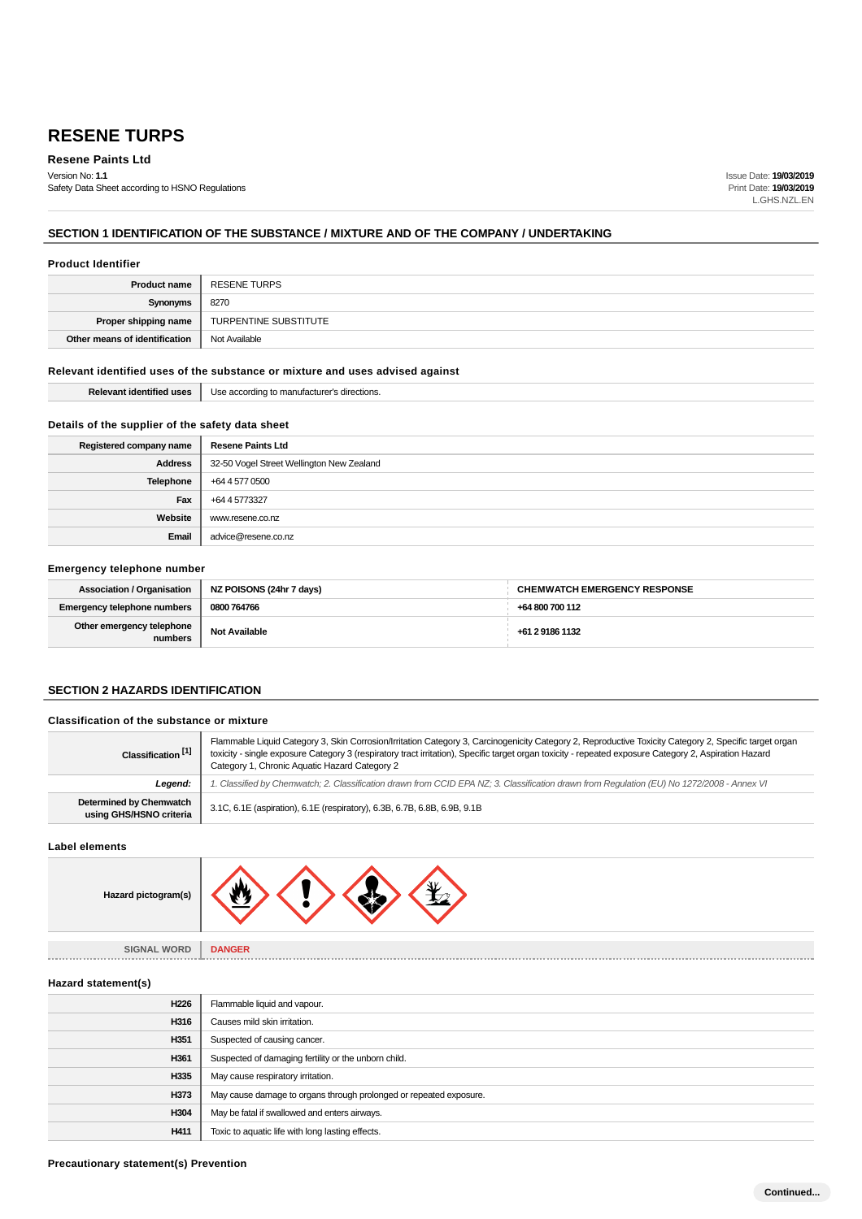**Resene Paints Ltd**

Version No: **1.1** Safety Data Sheet according to HSNO Regulations Issue Date: **19/03/2019** Print Date: **19/03/2019** L.GHS.NZL.EN

## **SECTION 1 IDENTIFICATION OF THE SUBSTANCE / MIXTURE AND OF THE COMPANY / UNDERTAKING**

### **Product Identifier**

| <b>Product name</b>           | RESENE TURPS          |
|-------------------------------|-----------------------|
| Synonyms                      | 8270                  |
| Proper shipping name          | TURPENTINE SUBSTITUTE |
| Other means of identification | Not Available         |

### **Relevant identified uses of the substance or mixture and uses advised against**

|  | Relevant identified uses   Use according to manufacturer's directions. |
|--|------------------------------------------------------------------------|
|--|------------------------------------------------------------------------|

### **Details of the supplier of the safety data sheet**

| Registered company name | <b>Resene Paints Ltd</b>                  |
|-------------------------|-------------------------------------------|
| <b>Address</b>          | 32-50 Vogel Street Wellington New Zealand |
| <b>Telephone</b>        | +64 4 577 0500                            |
| Fax                     | +64 4 5773327                             |
| Website                 | www.resene.co.nz                          |
| Email                   | advice@resene.co.nz                       |

#### **Emergency telephone number**

| Association / Organisation  | NZ POISONS (24hr 7 days) | <b>CHEMWATCH EMERGENCY RESPONSE</b> |
|-----------------------------|--------------------------|-------------------------------------|
| Emergency telephone numbers | 0800 764766              | +64 800 700 112                     |
| Other emergency telephone   | Not Available            | +61 2 9186 1132                     |

### **SECTION 2 HAZARDS IDENTIFICATION**

### **Classification of the substance or mixture**

| Classification <sup>[1]</sup>                             | Flammable Liquid Category 3, Skin Corrosion/Irritation Category 3, Carcinogenicity Category 2, Reproductive Toxicity Category 2, Specific target organ<br>toxicity - single exposure Category 3 (respiratory tract irritation), Specific target organ toxicity - repeated exposure Category 2, Aspiration Hazard<br>Category 1, Chronic Aquatic Hazard Category 2 |  |
|-----------------------------------------------------------|-------------------------------------------------------------------------------------------------------------------------------------------------------------------------------------------------------------------------------------------------------------------------------------------------------------------------------------------------------------------|--|
| Legend:                                                   | . Classified by Chemwatch; 2. Classification drawn from CCID EPA NZ; 3. Classification drawn from Requlation (EU) No 1272/2008 - Annex VI                                                                                                                                                                                                                         |  |
| <b>Determined by Chemwatch</b><br>using GHS/HSNO criteria | 3.1C, 6.1E (aspiration), 6.1E (respiratory), 6.3B, 6.7B, 6.8B, 6.9B, 9.1B                                                                                                                                                                                                                                                                                         |  |

**Label elements**



**SIGNAL WORD DANGER**

**Hazard statement(s)**

| H226             | Flammable liquid and vapour.                                       |
|------------------|--------------------------------------------------------------------|
| H316             | Causes mild skin irritation.                                       |
| H <sub>351</sub> | Suspected of causing cancer.                                       |
| H361             | Suspected of damaging fertility or the unborn child.               |
| H335             | May cause respiratory irritation.                                  |
| H373             | May cause damage to organs through prolonged or repeated exposure. |
| H304             | May be fatal if swallowed and enters airways.                      |
| H411             | Toxic to aquatic life with long lasting effects.                   |
|                  |                                                                    |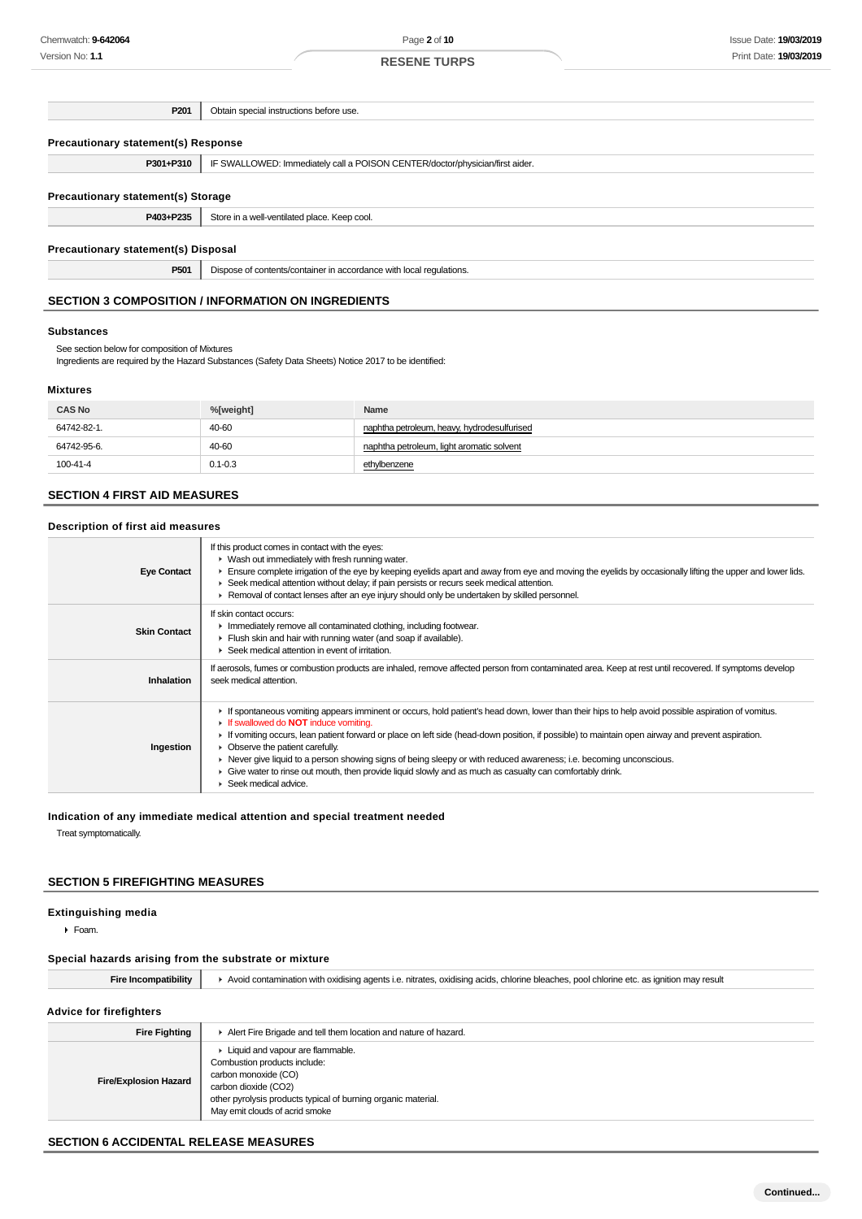| P201                                                      | Obtain special instructions before use.                                      |  |
|-----------------------------------------------------------|------------------------------------------------------------------------------|--|
|                                                           |                                                                              |  |
| <b>Precautionary statement(s) Response</b>                |                                                                              |  |
| P301+P310                                                 | IF SWALLOWED: Immediately call a POISON CENTER/doctor/physician/first aider. |  |
|                                                           |                                                                              |  |
| Precautionary statement(s) Storage                        |                                                                              |  |
| P403+P235                                                 | Store in a well-ventilated place. Keep cool.                                 |  |
|                                                           |                                                                              |  |
| Precautionary statement(s) Disposal                       |                                                                              |  |
| P501                                                      | Dispose of contents/container in accordance with local regulations.          |  |
|                                                           |                                                                              |  |
| <b>SECTION 3 COMPOSITION / INFORMATION ON INGREDIENTS</b> |                                                                              |  |

#### **Substances**

See section below for composition of Mixtures

Ingredients are required by the Hazard Substances (Safety Data Sheets) Notice 2017 to be identified:

### **Mixtures**

| <b>CAS No</b> | %[weight]   | Name                                        |
|---------------|-------------|---------------------------------------------|
| 64742-82-1.   | 40-60       | naphtha petroleum, heavy, hydrodesulfurised |
| 64742-95-6.   | 40-60       | naphtha petroleum, light aromatic solvent   |
| 100-41-4      | $0.1 - 0.3$ | ethylbenzene                                |

### **SECTION 4 FIRST AID MEASURES**

### **Description of first aid measures**

| <b>Eye Contact</b>  | If this product comes in contact with the eyes:<br>• Wash out immediately with fresh running water.<br>Ensure complete irrigation of the eye by keeping eyelids apart and away from eye and moving the eyelids by occasionally lifting the upper and lower lids.<br>► Seek medical attention without delay; if pain persists or recurs seek medical attention.<br>► Removal of contact lenses after an eye injury should only be undertaken by skilled personnel.                                                                                                                                                                                     |
|---------------------|-------------------------------------------------------------------------------------------------------------------------------------------------------------------------------------------------------------------------------------------------------------------------------------------------------------------------------------------------------------------------------------------------------------------------------------------------------------------------------------------------------------------------------------------------------------------------------------------------------------------------------------------------------|
| <b>Skin Contact</b> | If skin contact occurs:<br>Immediately remove all contaminated clothing, including footwear.<br>Flush skin and hair with running water (and soap if available).<br>▶ Seek medical attention in event of irritation.                                                                                                                                                                                                                                                                                                                                                                                                                                   |
| Inhalation          | If aerosols, fumes or combustion products are inhaled, remove affected person from contaminated area. Keep at rest until recovered. If symptoms develop<br>seek medical attention.                                                                                                                                                                                                                                                                                                                                                                                                                                                                    |
| Ingestion           | If spontaneous vomiting appears imminent or occurs, hold patient's head down, lower than their hips to help avoid possible aspiration of vomitus.<br>If swallowed do <b>NOT</b> induce vomiting.<br>If vomiting occurs, lean patient forward or place on left side (head-down position, if possible) to maintain open airway and prevent aspiration.<br>• Observe the patient carefully.<br>► Never give liquid to a person showing signs of being sleepy or with reduced awareness; i.e. becoming unconscious.<br>• Give water to rinse out mouth, then provide liquid slowly and as much as casualty can comfortably drink.<br>Seek medical advice. |

### **Indication of any immediate medical attention and special treatment needed**

Treat symptomatically.

### **SECTION 5 FIREFIGHTING MEASURES**

### **Extinguishing media**

Foam.

### **Special hazards arising from the substrate or mixture**

| <b>Fire Incompatibility</b>    | Avoid contamination with oxidising agents i.e. nitrates, oxidising acids, chlorine bleaches, pool chlorine etc. as ignition may result                                                                                |  |
|--------------------------------|-----------------------------------------------------------------------------------------------------------------------------------------------------------------------------------------------------------------------|--|
| <b>Advice for firefighters</b> |                                                                                                                                                                                                                       |  |
| <b>Fire Fighting</b>           | Alert Fire Brigade and tell them location and nature of hazard.                                                                                                                                                       |  |
| <b>Fire/Explosion Hazard</b>   | • Liquid and vapour are flammable.<br>Combustion products include:<br>carbon monoxide (CO)<br>carbon dioxide (CO2)<br>other pyrolysis products typical of burning organic material.<br>May emit clouds of acrid smoke |  |

### **SECTION 6 ACCIDENTAL RELEASE MEASURES**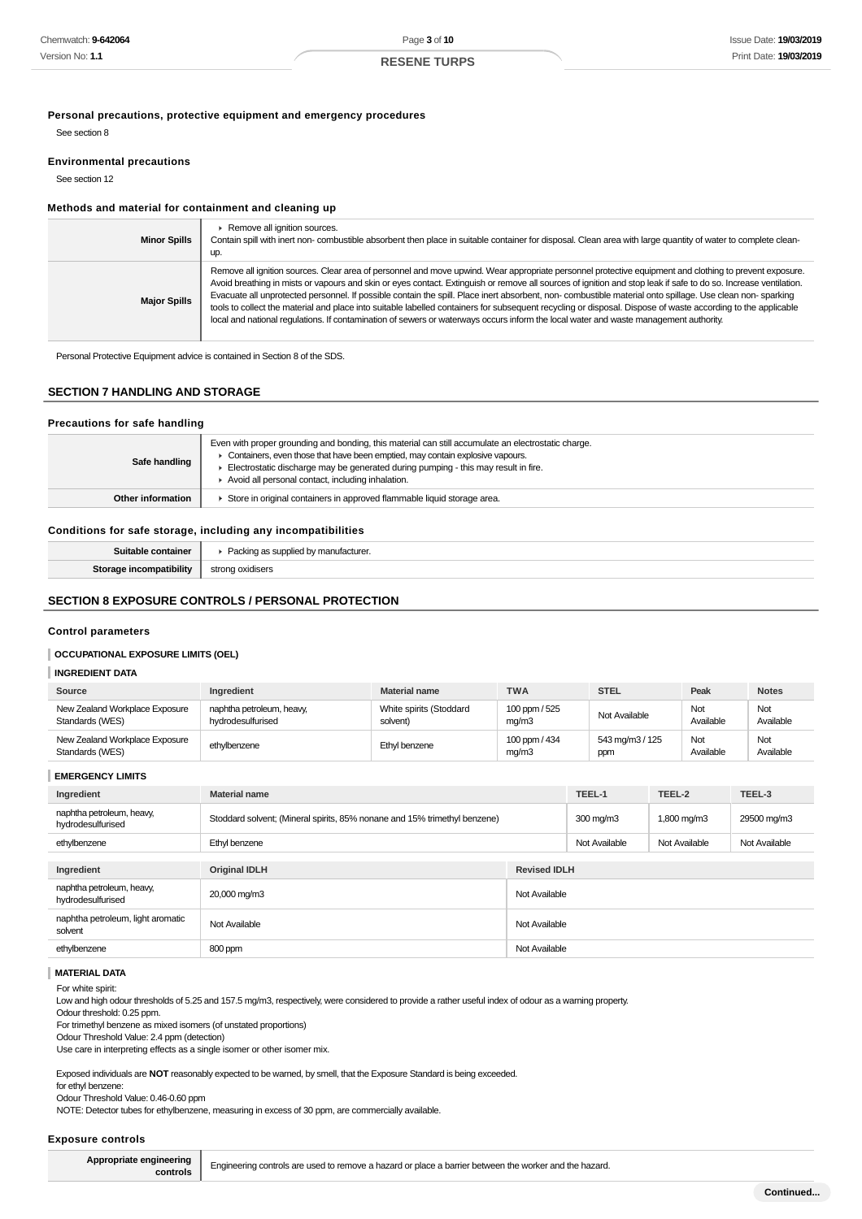**Personal precautions, protective equipment and emergency procedures**

See section 8

#### **Environmental precautions**

See section 12

### **Methods and material for containment and cleaning up**

| <b>Minor Spills</b> | Remove all ignition sources.<br>Contain spill with inert non-combustible absorbent then place in suitable container for disposal. Clean area with large quantity of water to complete clean-<br>up.                                                                                                                                                                                                                                                                                                                                                                                                                                                                                                                                                                                                |
|---------------------|----------------------------------------------------------------------------------------------------------------------------------------------------------------------------------------------------------------------------------------------------------------------------------------------------------------------------------------------------------------------------------------------------------------------------------------------------------------------------------------------------------------------------------------------------------------------------------------------------------------------------------------------------------------------------------------------------------------------------------------------------------------------------------------------------|
| <b>Major Spills</b> | Remove all ignition sources. Clear area of personnel and move upwind. Wear appropriate personnel protective equipment and clothing to prevent exposure.<br>Avoid breathing in mists or vapours and skin or eyes contact. Extinguish or remove all sources of ignition and stop leak if safe to do so. Increase ventilation.<br>Evacuate all unprotected personnel. If possible contain the spill. Place inert absorbent, non- combustible material onto spillage. Use clean non- sparking<br>tools to collect the material and place into suitable labelled containers for subsequent recycling or disposal. Dispose of waste according to the applicable<br>local and national regulations. If contamination of sewers or waterways occurs inform the local water and waste management authority. |

Personal Protective Equipment advice is contained in Section 8 of the SDS.

### **SECTION 7 HANDLING AND STORAGE**

| Precautions for safe handling |                                                                                                                                                                                                                                                                                                                                 |  |
|-------------------------------|---------------------------------------------------------------------------------------------------------------------------------------------------------------------------------------------------------------------------------------------------------------------------------------------------------------------------------|--|
| Safe handling                 | Even with proper grounding and bonding, this material can still accumulate an electrostatic charge.<br>Containers, even those that have been emptied, may contain explosive vapours.<br>Electrostatic discharge may be generated during pumping - this may result in fire.<br>Avoid all personal contact, including inhalation. |  |
| Other information             | Store in original containers in approved flammable liquid storage area.                                                                                                                                                                                                                                                         |  |
|                               |                                                                                                                                                                                                                                                                                                                                 |  |

### **Conditions for safe storage, including any incompatibilities**

| Suitable container             | Packing as supplied by manufacturer. |
|--------------------------------|--------------------------------------|
| <b>Storage incompatibility</b> | strong oxidisers                     |
|                                |                                      |

### **SECTION 8 EXPOSURE CONTROLS / PERSONAL PROTECTION**

### **Control parameters**

#### **OCCUPATIONAL EXPOSURE LIMITS (OEL)**

#### **INGREDIENT DATA**

| Source                                            | Ingredient                                     | <b>Material name</b>                | <b>TWA</b>             | <b>STEL</b>            | Peak             | <b>Notes</b>     |
|---------------------------------------------------|------------------------------------------------|-------------------------------------|------------------------|------------------------|------------------|------------------|
| New Zealand Workplace Exposure<br>Standards (WES) | naphtha petroleum, heavy,<br>hydrodesulfurised | White spirits (Stoddard<br>solvent) | 100 ppm / 525<br>mq/m3 | Not Available          | Not<br>Available | Not<br>Available |
| New Zealand Workplace Exposure<br>Standards (WES) | ethylbenzene                                   | Ethyl benzene                       | 100 ppm / 434<br>mq/m3 | 543 mg/m3 / 125<br>ppm | Not<br>Available | Not<br>Available |

**EMERGENCY LIMITS**

| Ingredient                                     | <b>Material name</b>                                                      |                     | TEEL-1             | TEEL-2        | TEEL-3        |
|------------------------------------------------|---------------------------------------------------------------------------|---------------------|--------------------|---------------|---------------|
| naphtha petroleum, heavy,<br>hydrodesulfurised | Stoddard solvent; (Mineral spirits, 85% nonane and 15% trimethyl benzene) |                     | $300 \text{ mg/m}$ | 1,800 mg/m3   | 29500 mg/m3   |
| ethylbenzene                                   | Ethyl benzene                                                             |                     | Not Available      | Not Available | Not Available |
|                                                |                                                                           |                     |                    |               |               |
| Ingredient                                     | <b>Original IDLH</b>                                                      | <b>Revised IDLH</b> |                    |               |               |
| naphtha petroleum, heavy,<br>hydrodesulfurised | 20,000 mg/m3                                                              | Not Available       |                    |               |               |
| naphtha petroleum, light aromatic<br>solvent   | Not Available                                                             | Not Available       |                    |               |               |
| ethylbenzene                                   | 800 ppm                                                                   | Not Available       |                    |               |               |

**MATERIAL DATA**

For white spirit:

Low and high odour thresholds of 5.25 and 157.5 mg/m3, respectively, were considered to provide a rather useful index of odour as a warning property.

Odour threshold: 0.25 ppm.

For trimethyl benzene as mixed isomers (of unstated proportions)

Odour Threshold Value: 2.4 ppm (detection)

Use care in interpreting effects as a single isomer or other isomer mix.

Exposed individuals are **NOT** reasonably expected to be warned, by smell, that the Exposure Standard is being exceeded.

for ethyl benzene:

Odour Threshold Value: 0.46-0.60 ppm

NOTE: Detector tubes for ethylbenzene, measuring in excess of 30 ppm, are commercially available.

#### **Exposure controls**

**Appropriate engineering**

**gineering Engineering controls are used to remove a hazard or place a barrier between the worker and the hazard.<br>
<b>controls**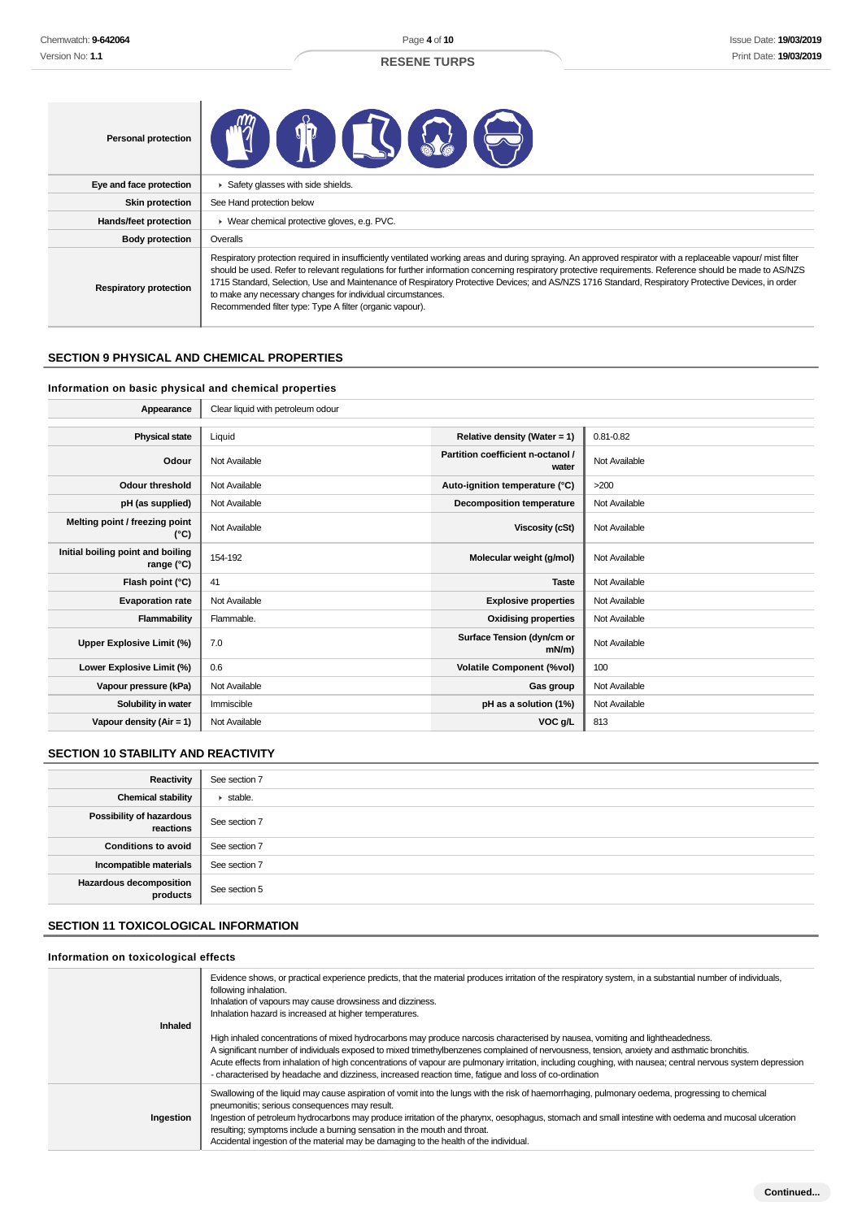Page **4** of **10**

### **RESENE TURPS**

| <b>Personal protection</b>    | THE T                                                                                                                                                                                                                                                                                                                                                                                                                                                                                                                                                                                                       |
|-------------------------------|-------------------------------------------------------------------------------------------------------------------------------------------------------------------------------------------------------------------------------------------------------------------------------------------------------------------------------------------------------------------------------------------------------------------------------------------------------------------------------------------------------------------------------------------------------------------------------------------------------------|
| Eye and face protection       | Safety glasses with side shields.                                                                                                                                                                                                                                                                                                                                                                                                                                                                                                                                                                           |
| <b>Skin protection</b>        | See Hand protection below                                                                                                                                                                                                                                                                                                                                                                                                                                                                                                                                                                                   |
| Hands/feet protection         | ▶ Wear chemical protective gloves, e.g. PVC.                                                                                                                                                                                                                                                                                                                                                                                                                                                                                                                                                                |
| <b>Body protection</b>        | Overalls                                                                                                                                                                                                                                                                                                                                                                                                                                                                                                                                                                                                    |
| <b>Respiratory protection</b> | Respiratory protection required in insufficiently ventilated working areas and during spraying. An approved respirator with a replaceable vapour/ mist filter<br>should be used. Refer to relevant regulations for further information concerning respiratory protective requirements. Reference should be made to AS/NZS<br>1715 Standard, Selection, Use and Maintenance of Respiratory Protective Devices; and AS/NZS 1716 Standard, Respiratory Protective Devices, in order<br>to make any necessary changes for individual circumstances.<br>Recommended filter type: Type A filter (organic vapour). |

### **SECTION 9 PHYSICAL AND CHEMICAL PROPERTIES**

### **Information on basic physical and chemical properties**

| Appearance                                      | Clear liquid with petroleum odour |                                            |               |
|-------------------------------------------------|-----------------------------------|--------------------------------------------|---------------|
|                                                 |                                   |                                            |               |
| <b>Physical state</b>                           | Liquid                            | Relative density (Water = $1$ )            | $0.81 - 0.82$ |
| Odour                                           | Not Available                     | Partition coefficient n-octanol /<br>water | Not Available |
| <b>Odour threshold</b>                          | Not Available                     | Auto-ignition temperature (°C)             | >200          |
| pH (as supplied)                                | Not Available                     | Decomposition temperature                  | Not Available |
| Melting point / freezing point<br>(°C)          | Not Available                     | Viscosity (cSt)                            | Not Available |
| Initial boiling point and boiling<br>range (°C) | 154-192                           | Molecular weight (g/mol)                   | Not Available |
| Flash point (°C)                                | 41                                | <b>Taste</b>                               | Not Available |
| <b>Evaporation rate</b>                         | Not Available                     | <b>Explosive properties</b>                | Not Available |
| Flammability                                    | Flammable.                        | <b>Oxidising properties</b>                | Not Available |
| Upper Explosive Limit (%)                       | 7.0                               | Surface Tension (dyn/cm or<br>$mN/m$ )     | Not Available |
| Lower Explosive Limit (%)                       | 0.6                               | <b>Volatile Component (%vol)</b>           | 100           |
| Vapour pressure (kPa)                           | Not Available                     | Gas group                                  | Not Available |
| Solubility in water                             | Immiscible                        | pH as a solution (1%)                      | Not Available |
| Vapour density $(Air = 1)$                      | Not Available                     | VOC g/L                                    | 813           |

### **SECTION 10 STABILITY AND REACTIVITY**

| Reactivity                            | See section 7   |
|---------------------------------------|-----------------|
| <b>Chemical stability</b>             | $\cdot$ stable. |
| Possibility of hazardous<br>reactions | See section 7   |
| <b>Conditions to avoid</b>            | See section 7   |
| Incompatible materials                | See section 7   |
| Hazardous decomposition<br>products   | See section 5   |

### **SECTION 11 TOXICOLOGICAL INFORMATION**

### **Information on toxicological effects**

| Inhaled   | Evidence shows, or practical experience predicts, that the material produces irritation of the respiratory system, in a substantial number of individuals,<br>following inhalation.<br>Inhalation of vapours may cause drowsiness and dizziness.<br>Inhalation hazard is increased at higher temperatures.<br>High inhaled concentrations of mixed hydrocarbons may produce narcosis characterised by nausea, vomiting and lightheadedness.<br>A significant number of individuals exposed to mixed trimethylbenzenes complained of nervousness, tension, anxiety and asthmatic bronchitis.<br>Acute effects from inhalation of high concentrations of vapour are pulmonary irritation, including coughing, with nausea; central nervous system depression<br>- characterised by headache and dizziness, increased reaction time, fatique and loss of co-ordination |
|-----------|---------------------------------------------------------------------------------------------------------------------------------------------------------------------------------------------------------------------------------------------------------------------------------------------------------------------------------------------------------------------------------------------------------------------------------------------------------------------------------------------------------------------------------------------------------------------------------------------------------------------------------------------------------------------------------------------------------------------------------------------------------------------------------------------------------------------------------------------------------------------|
| Ingestion | Swallowing of the liquid may cause aspiration of vomit into the lungs with the risk of haemorrhaging, pulmonary oedema, progressing to chemical<br>pneumonitis; serious consequences may result.<br>Ingestion of petroleum hydrocarbons may produce irritation of the pharynx, oesophagus, stomach and small intestine with oedema and mucosal ulceration<br>resulting; symptoms include a burning sensation in the mouth and throat.<br>Accidental ingestion of the material may be damaging to the health of the individual.                                                                                                                                                                                                                                                                                                                                      |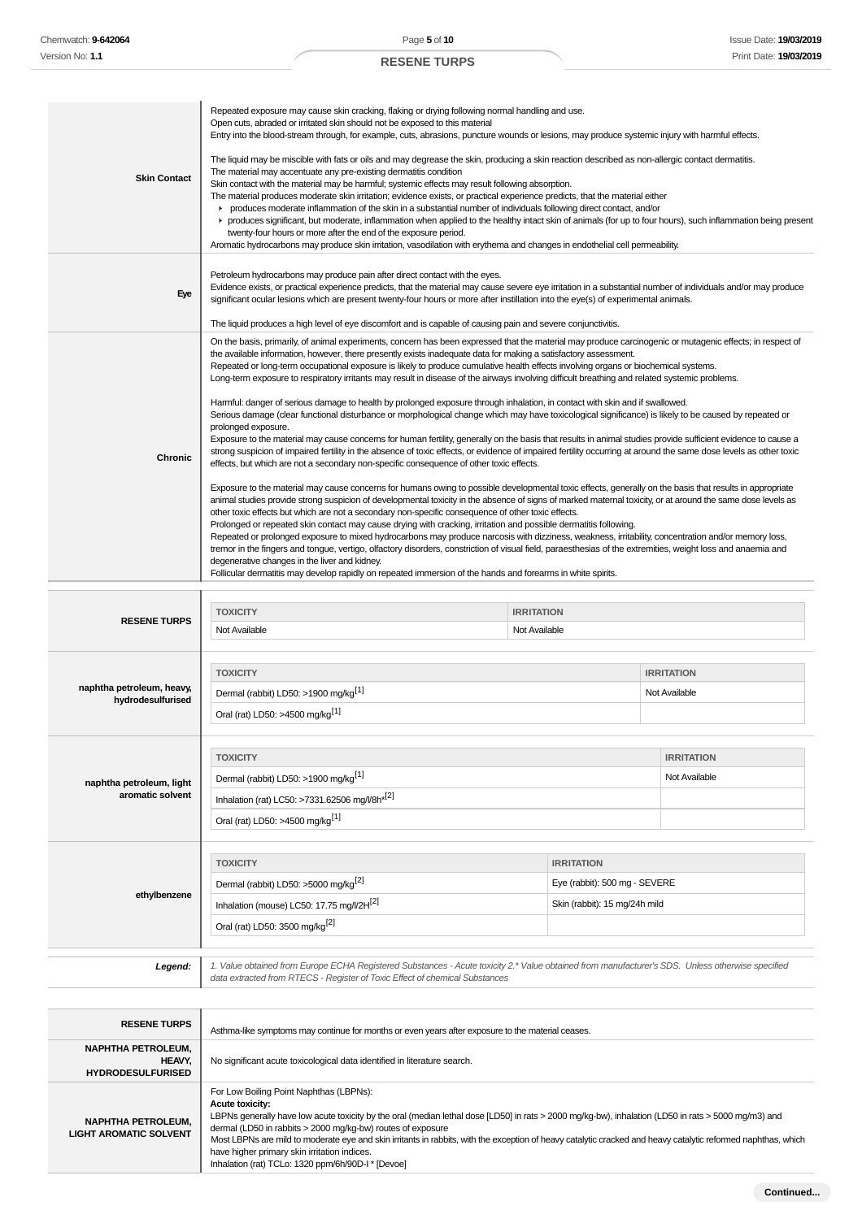| <b>Skin Contact</b>                                        | Repeated exposure may cause skin cracking, flaking or drying following normal handling and use.<br>Open cuts, abraded or irritated skin should not be exposed to this material<br>Entry into the blood-stream through, for example, cuts, abrasions, puncture wounds or lesions, may produce systemic injury with harmful effects.<br>The liquid may be miscible with fats or oils and may degrease the skin, producing a skin reaction described as non-allergic contact dermatitis.<br>The material may accentuate any pre-existing dermatitis condition<br>Skin contact with the material may be harmful; systemic effects may result following absorption.<br>The material produces moderate skin irritation; evidence exists, or practical experience predicts, that the material either<br>► produces moderate inflammation of the skin in a substantial number of individuals following direct contact, and/or<br>r produces significant, but moderate, inflammation when applied to the healthy intact skin of animals (for up to four hours), such inflammation being present<br>twenty-four hours or more after the end of the exposure period.<br>Aromatic hydrocarbons may produce skin irritation, vasodilation with erythema and changes in endothelial cell permeability.                                                                                                                                                                                                                                                                                                                                                                                                                                                                                                                                                                                                                                                                                                                                                                                                                                                                                                                                                                                                                                                                          |                                    |                                                                |                                    |
|------------------------------------------------------------|-------------------------------------------------------------------------------------------------------------------------------------------------------------------------------------------------------------------------------------------------------------------------------------------------------------------------------------------------------------------------------------------------------------------------------------------------------------------------------------------------------------------------------------------------------------------------------------------------------------------------------------------------------------------------------------------------------------------------------------------------------------------------------------------------------------------------------------------------------------------------------------------------------------------------------------------------------------------------------------------------------------------------------------------------------------------------------------------------------------------------------------------------------------------------------------------------------------------------------------------------------------------------------------------------------------------------------------------------------------------------------------------------------------------------------------------------------------------------------------------------------------------------------------------------------------------------------------------------------------------------------------------------------------------------------------------------------------------------------------------------------------------------------------------------------------------------------------------------------------------------------------------------------------------------------------------------------------------------------------------------------------------------------------------------------------------------------------------------------------------------------------------------------------------------------------------------------------------------------------------------------------------------------------------------------------------------------------------------------------------|------------------------------------|----------------------------------------------------------------|------------------------------------|
| Eye                                                        | Petroleum hydrocarbons may produce pain after direct contact with the eyes.<br>Evidence exists, or practical experience predicts, that the material may cause severe eye irritation in a substantial number of individuals and/or may produce<br>significant ocular lesions which are present twenty-four hours or more after instillation into the eye(s) of experimental animals.<br>The liquid produces a high level of eye discomfort and is capable of causing pain and severe conjunctivitis.                                                                                                                                                                                                                                                                                                                                                                                                                                                                                                                                                                                                                                                                                                                                                                                                                                                                                                                                                                                                                                                                                                                                                                                                                                                                                                                                                                                                                                                                                                                                                                                                                                                                                                                                                                                                                                                               |                                    |                                                                |                                    |
| Chronic                                                    | On the basis, primarily, of animal experiments, concern has been expressed that the material may produce carcinogenic or mutagenic effects; in respect of<br>the available information, however, there presently exists inadequate data for making a satisfactory assessment.<br>Repeated or long-term occupational exposure is likely to produce cumulative health effects involving organs or biochemical systems.<br>Long-term exposure to respiratory irritants may result in disease of the airways involving difficult breathing and related systemic problems.<br>Harmful: danger of serious damage to health by prolonged exposure through inhalation, in contact with skin and if swallowed.<br>Serious damage (clear functional disturbance or morphological change which may have toxicological significance) is likely to be caused by repeated or<br>prolonged exposure.<br>Exposure to the material may cause concerns for human fertility, generally on the basis that results in animal studies provide sufficient evidence to cause a<br>strong suspicion of impaired fertility in the absence of toxic effects, or evidence of impaired fertility occurring at around the same dose levels as other toxic<br>effects, but which are not a secondary non-specific consequence of other toxic effects.<br>Exposure to the material may cause concerns for humans owing to possible developmental toxic effects, generally on the basis that results in appropriate<br>animal studies provide strong suspicion of developmental toxicity in the absence of signs of marked maternal toxicity, or at around the same dose levels as<br>other toxic effects but which are not a secondary non-specific consequence of other toxic effects.<br>Prolonged or repeated skin contact may cause drying with cracking, irritation and possible dermatitis following.<br>Repeated or prolonged exposure to mixed hydrocarbons may produce narcosis with dizziness, weakness, irritability, concentration and/or memory loss,<br>tremor in the fingers and tongue, vertigo, olfactory disorders, constriction of visual field, paraesthesias of the extremities, weight loss and anaemia and<br>degenerative changes in the liver and kidney.<br>Follicular dermatitis may develop rapidly on repeated immersion of the hands and forearms in white spirits. |                                    |                                                                |                                    |
| <b>RESENE TURPS</b>                                        | <b>TOXICITY</b><br>Not Available                                                                                                                                                                                                                                                                                                                                                                                                                                                                                                                                                                                                                                                                                                                                                                                                                                                                                                                                                                                                                                                                                                                                                                                                                                                                                                                                                                                                                                                                                                                                                                                                                                                                                                                                                                                                                                                                                                                                                                                                                                                                                                                                                                                                                                                                                                                                  | <b>IRRITATION</b><br>Not Available |                                                                |                                    |
| naphtha petroleum, heavy,<br>hydrodesulfurised             | <b>TOXICITY</b><br>Dermal (rabbit) LD50: >1900 mg/kg <sup>[1]</sup><br>Oral (rat) LD50: >4500 mg/kg <sup>[1]</sup>                                                                                                                                                                                                                                                                                                                                                                                                                                                                                                                                                                                                                                                                                                                                                                                                                                                                                                                                                                                                                                                                                                                                                                                                                                                                                                                                                                                                                                                                                                                                                                                                                                                                                                                                                                                                                                                                                                                                                                                                                                                                                                                                                                                                                                                |                                    |                                                                | <b>IRRITATION</b><br>Not Available |
| naphtha petroleum, light<br>aromatic solvent               | <b>TOXICITY</b><br>Dermal (rabbit) LD50: >1900 mg/kg <sup>[1]</sup><br>Inhalation (rat) LC50: >7331.62506 mg/l/8h <sup>*[2]</sup><br>Oral (rat) LD50: >4500 mg/kg <sup>[1]</sup>                                                                                                                                                                                                                                                                                                                                                                                                                                                                                                                                                                                                                                                                                                                                                                                                                                                                                                                                                                                                                                                                                                                                                                                                                                                                                                                                                                                                                                                                                                                                                                                                                                                                                                                                                                                                                                                                                                                                                                                                                                                                                                                                                                                  |                                    |                                                                | <b>IRRITATION</b><br>Not Available |
| ethylbenzene                                               | <b>TOXICITY</b><br>Dermal (rabbit) LD50: >5000 mg/kg <sup>[2]</sup><br>Inhalation (mouse) LC50: 17.75 mg/l/2H <sup>[2]</sup><br>Oral (rat) LD50: 3500 mg/kg <sup>[2]</sup>                                                                                                                                                                                                                                                                                                                                                                                                                                                                                                                                                                                                                                                                                                                                                                                                                                                                                                                                                                                                                                                                                                                                                                                                                                                                                                                                                                                                                                                                                                                                                                                                                                                                                                                                                                                                                                                                                                                                                                                                                                                                                                                                                                                        | <b>IRRITATION</b>                  | Eye (rabbit): 500 mg - SEVERE<br>Skin (rabbit): 15 mg/24h mild |                                    |
| Legend:                                                    | 1. Value obtained from Europe ECHA Registered Substances - Acute toxicity 2.* Value obtained from manufacturer's SDS. Unless otherwise specified<br>data extracted from RTECS - Register of Toxic Effect of chemical Substances                                                                                                                                                                                                                                                                                                                                                                                                                                                                                                                                                                                                                                                                                                                                                                                                                                                                                                                                                                                                                                                                                                                                                                                                                                                                                                                                                                                                                                                                                                                                                                                                                                                                                                                                                                                                                                                                                                                                                                                                                                                                                                                                   |                                    |                                                                |                                    |
| <b>RESENE TURPS</b><br><b>NAPHTHA PETROLEUM,</b><br>HEAVY, | Asthma-like symptoms may continue for months or even years after exposure to the material ceases.<br>No significant acute toxicological data identified in literature search.                                                                                                                                                                                                                                                                                                                                                                                                                                                                                                                                                                                                                                                                                                                                                                                                                                                                                                                                                                                                                                                                                                                                                                                                                                                                                                                                                                                                                                                                                                                                                                                                                                                                                                                                                                                                                                                                                                                                                                                                                                                                                                                                                                                     |                                    |                                                                |                                    |

**HYDRODESULFURISED NAPHTHA PETROLEUM, LIGHT AROMATIC SOLVENT** For Low Boiling Point Naphthas (LBPNs): **Acute toxicity:** LBPNs generally have low acute toxicity by the oral (median lethal dose [LD50] in rats > 2000 mg/kg-bw), inhalation (LD50 in rats > 5000 mg/m3) and dermal (LD50 in rabbits > 2000 mg/kg-bw) routes of exposure Most LBPNs are mild to moderate eye and skin irritants in rabbits, with the exception of heavy catalytic cracked and heavy catalytic reformed naphthas, which have higher primary skin irritation indices. Inhalation (rat) TCLo: 1320 ppm/6h/90D-I \* [Devoe]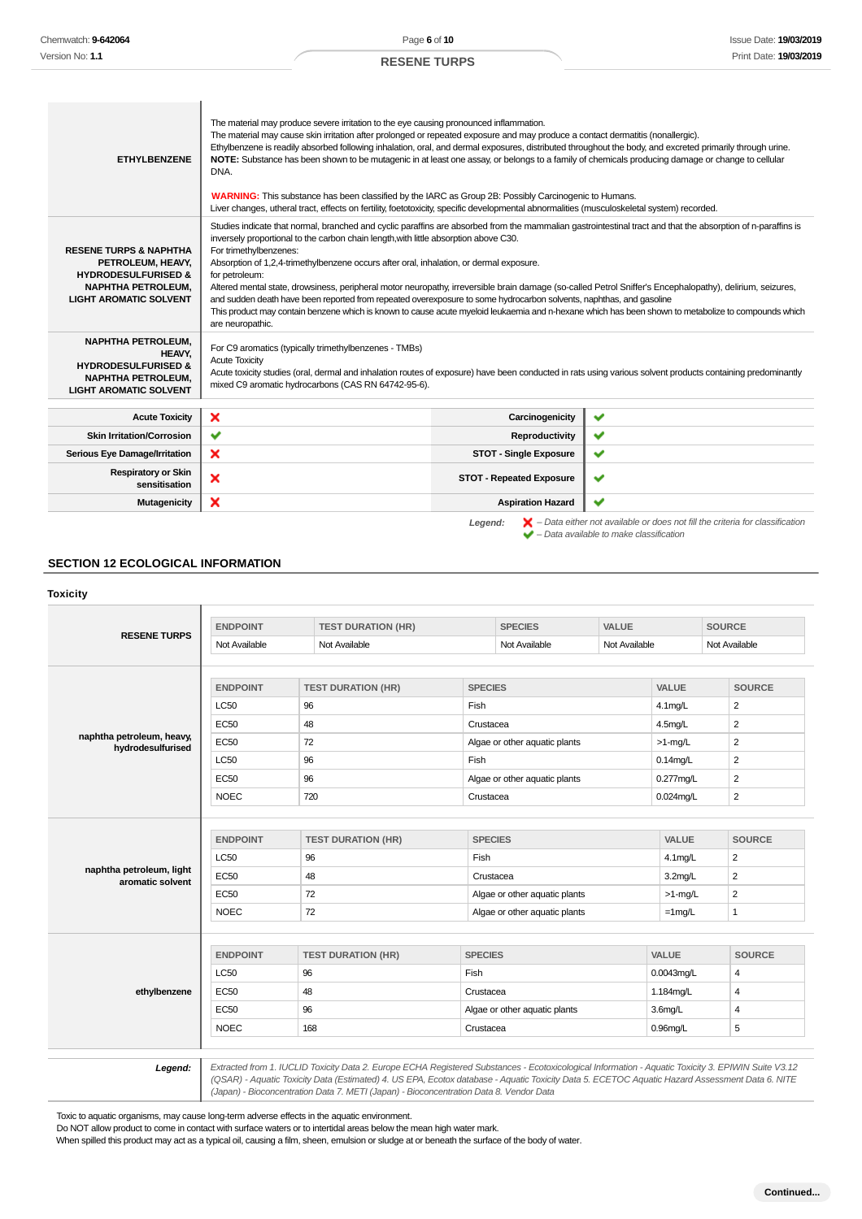| Studies indicate that normal, branched and cyclic paraffins are absorbed from the mammalian gastrointestinal tract and that the absorption of n-paraffins is<br>inversely proportional to the carbon chain length, with little absorption above C30.<br>For trimethylbenzenes:<br><b>RESENE TURPS &amp; NAPHTHA</b><br>PETROLEUM, HEAVY,<br>Absorption of 1,2,4-trimethylbenzene occurs after oral, inhalation, or dermal exposure.<br><b>HYDRODESULFURISED &amp;</b><br>for petroleum:<br><b>NAPHTHA PETROLEUM,</b><br>Altered mental state, drowsiness, peripheral motor neuropathy, irreversible brain damage (so-called Petrol Sniffer's Encephalopathy), delirium, seizures,<br><b>LIGHT AROMATIC SOLVENT</b><br>and sudden death have been reported from repeated overexposure to some hydrocarbon solvents, naphthas, and gasoline<br>This product may contain benzene which is known to cause acute myeloid leukaemia and n-hexane which has been shown to metabolize to compounds which<br>are neuropathic.<br><b>NAPHTHA PETROLEUM.</b><br>For C9 aromatics (typically trimethylbenzenes - TMBs)<br>HEAVY.<br><b>Acute Toxicity</b><br><b>HYDRODESULFURISED &amp;</b><br>Acute toxicity studies (oral, dermal and inhalation routes of exposure) have been conducted in rats using various solvent products containing predominantly<br><b>NAPHTHA PETROLEUM,</b><br>mixed C9 aromatic hydrocarbons (CAS RN 64742-95-6).<br><b>LIGHT AROMATIC SOLVENT</b><br>Carcinogenicity<br><b>Acute Toxicity</b><br>$\checkmark$<br>× | <b>ETHYLBENZENE</b> | The material may produce severe irritation to the eye causing pronounced inflammation.<br>The material may cause skin irritation after prolonged or repeated exposure and may produce a contact dermatitis (nonallergic).<br>Ethylbenzene is readily absorbed following inhalation, oral, and dermal exposures, distributed throughout the body, and excreted primarily through urine.<br>NOTE: Substance has been shown to be mutagenic in at least one assay, or belongs to a family of chemicals producing damage or change to cellular<br>DNA.<br><b>WARNING:</b> This substance has been classified by the IARC as Group 2B: Possibly Carcinogenic to Humans.<br>Liver changes, utheral tract, effects on fertility, foetotoxicity, specific developmental abnormalities (musculoskeletal system) recorded. |  |
|--------------------------------------------------------------------------------------------------------------------------------------------------------------------------------------------------------------------------------------------------------------------------------------------------------------------------------------------------------------------------------------------------------------------------------------------------------------------------------------------------------------------------------------------------------------------------------------------------------------------------------------------------------------------------------------------------------------------------------------------------------------------------------------------------------------------------------------------------------------------------------------------------------------------------------------------------------------------------------------------------------------------------------------------------------------------------------------------------------------------------------------------------------------------------------------------------------------------------------------------------------------------------------------------------------------------------------------------------------------------------------------------------------------------------------------------------------------------------------------------------------------------------------------|---------------------|------------------------------------------------------------------------------------------------------------------------------------------------------------------------------------------------------------------------------------------------------------------------------------------------------------------------------------------------------------------------------------------------------------------------------------------------------------------------------------------------------------------------------------------------------------------------------------------------------------------------------------------------------------------------------------------------------------------------------------------------------------------------------------------------------------------|--|
|                                                                                                                                                                                                                                                                                                                                                                                                                                                                                                                                                                                                                                                                                                                                                                                                                                                                                                                                                                                                                                                                                                                                                                                                                                                                                                                                                                                                                                                                                                                                      |                     |                                                                                                                                                                                                                                                                                                                                                                                                                                                                                                                                                                                                                                                                                                                                                                                                                  |  |
|                                                                                                                                                                                                                                                                                                                                                                                                                                                                                                                                                                                                                                                                                                                                                                                                                                                                                                                                                                                                                                                                                                                                                                                                                                                                                                                                                                                                                                                                                                                                      |                     |                                                                                                                                                                                                                                                                                                                                                                                                                                                                                                                                                                                                                                                                                                                                                                                                                  |  |
|                                                                                                                                                                                                                                                                                                                                                                                                                                                                                                                                                                                                                                                                                                                                                                                                                                                                                                                                                                                                                                                                                                                                                                                                                                                                                                                                                                                                                                                                                                                                      |                     |                                                                                                                                                                                                                                                                                                                                                                                                                                                                                                                                                                                                                                                                                                                                                                                                                  |  |
| ✔<br>✔<br><b>Skin Irritation/Corrosion</b><br>Reproductivity                                                                                                                                                                                                                                                                                                                                                                                                                                                                                                                                                                                                                                                                                                                                                                                                                                                                                                                                                                                                                                                                                                                                                                                                                                                                                                                                                                                                                                                                         |                     |                                                                                                                                                                                                                                                                                                                                                                                                                                                                                                                                                                                                                                                                                                                                                                                                                  |  |
| ×<br>✔<br><b>STOT - Single Exposure</b><br>Serious Eye Damage/Irritation                                                                                                                                                                                                                                                                                                                                                                                                                                                                                                                                                                                                                                                                                                                                                                                                                                                                                                                                                                                                                                                                                                                                                                                                                                                                                                                                                                                                                                                             |                     |                                                                                                                                                                                                                                                                                                                                                                                                                                                                                                                                                                                                                                                                                                                                                                                                                  |  |
| <b>Respiratory or Skin</b><br>×<br><b>STOT - Repeated Exposure</b><br>$\checkmark$<br>sensitisation                                                                                                                                                                                                                                                                                                                                                                                                                                                                                                                                                                                                                                                                                                                                                                                                                                                                                                                                                                                                                                                                                                                                                                                                                                                                                                                                                                                                                                  |                     |                                                                                                                                                                                                                                                                                                                                                                                                                                                                                                                                                                                                                                                                                                                                                                                                                  |  |
| ×<br>v<br>Mutagenicity<br><b>Aspiration Hazard</b>                                                                                                                                                                                                                                                                                                                                                                                                                                                                                                                                                                                                                                                                                                                                                                                                                                                                                                                                                                                                                                                                                                                                                                                                                                                                                                                                                                                                                                                                                   |                     |                                                                                                                                                                                                                                                                                                                                                                                                                                                                                                                                                                                                                                                                                                                                                                                                                  |  |

 $\blacktriangleright$  – Data available to make classification

### **SECTION 12 ECOLOGICAL INFORMATION**

## **Toxicity RESENE TURPS ENDPOINT TEST DURATION (HR) SPECIES VALUE SOURCE** Not Available Not Available Not Available Not Available Not Available Not Available Not Available **naphtha petroleum, heavy, hydrodesulfurised ENDPOINT TEST DURATION (HR) SPECIES VALUE SOURCE**  $\left\lfloor \frac{1}{50} \right\rfloor$   $\left\lfloor \frac{96}{2} \right\rfloor$   $\left\lfloor \frac{1}{50} \right\rfloor$   $\left\lfloor \frac{1}{50} \right\rfloor$   $\left\lfloor \frac{1}{2} \right\rfloor$   $\left\lfloor \frac{1}{2} \right\rfloor$   $\left\lfloor \frac{1}{2} \right\rfloor$   $\left\lfloor \frac{1}{2} \right\rfloor$   $\left\lfloor \frac{1}{2} \right\rfloor$   $\left\lfloor \frac{1}{2} \right\rfloor$   $\left\lfloor \frac{1}{2} \right\rf$ EC50 48 and 2 and 2 Crustacea 2.1 and 2 and 2 and 2 and 2 and 2 and 2 and 2 and 2 and 2 and 2 and 2 and 2 and 2 EC50 72 Algae or other aquatic plants >1-mg/L 2  $\left\lfloor \frac{\text{C50}}{\text{C50}} \right\rfloor = \left\lfloor \frac{\text{C50}}{\text{C50}} \right\rfloor = \left\lfloor \frac{\text{C50}}{\text{C50}} \right\rfloor = \left\lfloor \frac{\text{C50}}{\text{C50}} \right\rfloor = \left\lfloor \frac{\text{C50}}{\text{C50}} \right\rfloor = \left\lfloor \frac{\text{C50}}{\text{C50}} \right\rfloor = \left\lfloor \frac{\text{C50}}{\text{C50}} \right\rfloor = \left\lfloor \frac{\text{C50}}{\text{C50}} \right\rfloor = \left\lf$ EC50 96 96 Algae or other aquatic plants 0.277mg/L 2 NOEC 720 720 Crustacea Crustacea 0.024mg/L 2 **naphtha petroleum, light aromatic solvent ENDPOINT TEST DURATION (HR) SPECIES VALUE SOURCE**  $\begin{array}{|c|c|c|c|c|}\n \hline\n \text{LC50} & & \text{96} & \text{Fish} & & \text{4.1mg/L} & \text{2.1mg/L} & \text{2.1cm} \end{array}$ EC50 48 Assessment and the Crustacea Crustacea and the set of the set of the set of the set of the set of the set of the set of the set of the set of the set of the set of the set of the set of the set of the set of the se EC50 72 Algae or other aquatic plants >1-mg/L 2 NOEC 72 Algae or other aquatic plants =  $\frac{1}{2}$  1mg/L 1 **ethylbenzene ENDPOINT TEST DURATION (HR) SPECIES VALUE SOURCE**  $\left\lfloor \frac{1}{50} \right\rfloor = \left\lfloor \frac{96}{96} \right\rfloor = \left\lfloor \frac{1}{50} \right\rfloor = \left\lfloor \frac{1}{50} \right\rfloor = \left\lfloor \frac{1}{50} \right\rfloor = \left\lfloor \frac{1}{50} \right\rfloor = \left\lfloor \frac{1}{50} \right\rfloor = \left\lfloor \frac{1}{50} \right\rfloor = \left\lfloor \frac{1}{50} \right\rfloor = \left\lfloor \frac{1}{50} \right\rfloor = \left\lfloor \frac{1}{50} \right\rfloor = \left\lfloor \frac{1}{$ EC50 48 Crustacea 1.184mg/L 4 EC50 96 96 Algae or other aquatic plants 3.6mg/L 4 NOEC 168 Crustacea 0.96mg/L 5 Legend: | Extracted from 1. IUCLID Toxicity Data 2. Europe ECHA Registered Substances - Ecotoxicological Information - Aquatic Toxicity 3. EPIWIN Suite V3.12 (QSAR) - Aquatic Toxicity Data (Estimated) 4. US EPA, Ecotox database - Aquatic Toxicity Data 5. ECETOC Aquatic Hazard Assessment Data 6. NITE (Japan) - Bioconcentration Data 7. METI (Japan) - Bioconcentration Data 8. Vendor Data

Toxic to aquatic organisms, may cause long-term adverse effects in the aquatic environment.

Do NOT allow product to come in contact with surface waters or to intertidal areas below the mean high water mark.

When spilled this product may act as a typical oil, causing a film, sheen, emulsion or sludge at or beneath the surface of the body of water.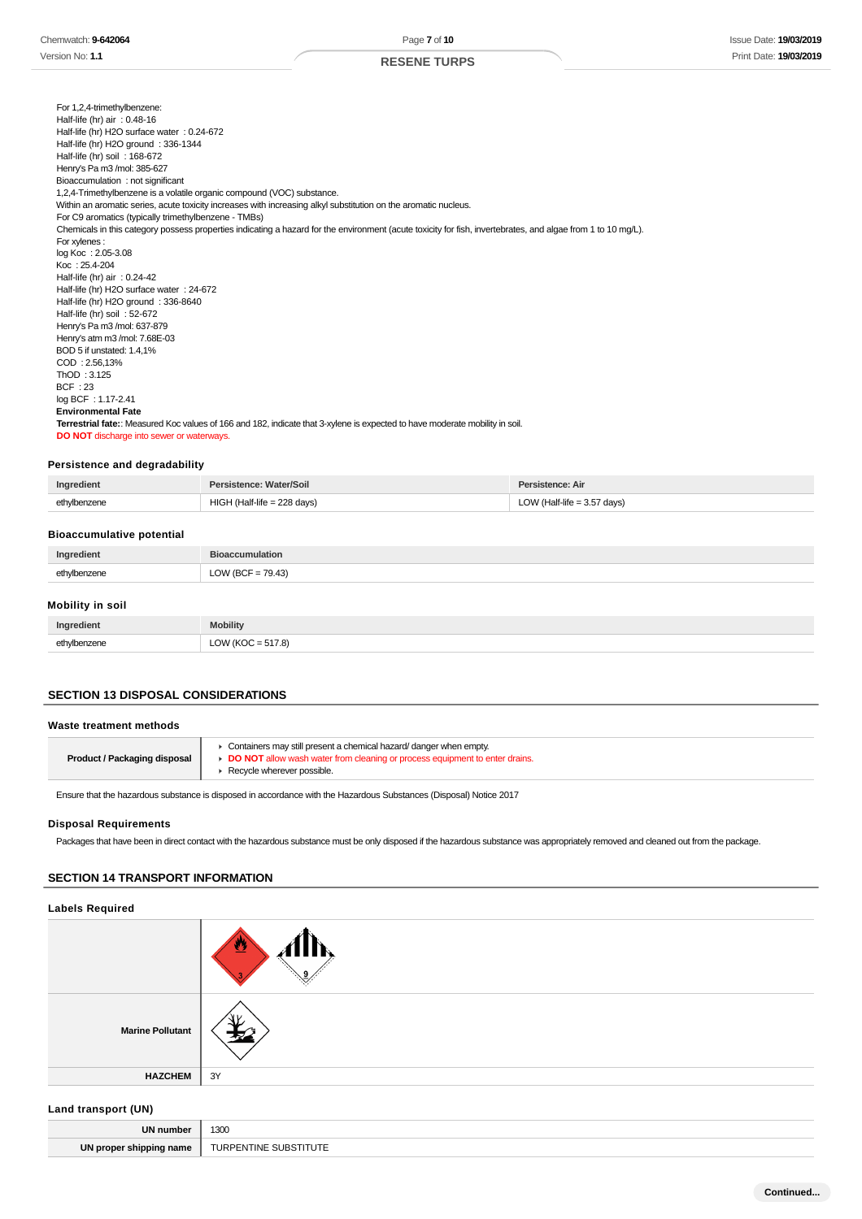For 1,2,4-trimethylbenzene: Half-life (hr) air : 0.48-16 Half-life (hr) H2O surface water : 0.24-672 Half-life (hr) H2O ground : 336-1344 Half-life (hr) soil: 168-672 Henry's Pa m3 /mol: 385-627 Bioaccumulation : not significant 1,2,4-Trimethylbenzene is a volatile organic compound (VOC) substance. Within an aromatic series, acute toxicity increases with increasing alkyl substitution on the aromatic nucleus. For C9 aromatics (typically trimethylbenzene - TMBs) Chemicals in this category possess properties indicating a hazard for the environment (acute toxicity for fish, invertebrates, and algae from 1 to 10 mg/L). For xylenes : log Koc : 2.05-3.08 Koc : 25.4-204 Half-life (hr) air : 0.24-42 Half-life (hr) H2O surface water : 24-672 Half-life (hr) H2O ground : 336-8640 Half-life (hr) soil : 52-672 Henry's Pa m3 /mol: 637-879 Henry's atm m3 /mol: 7.68E-03 BOD 5 if unstated: 1.4,1% COD : 2.56,13% ThOD : 3.125 BCF : 23 log BCF : 1.17-2.41 **Environmental Fate Terrestrial fate:**: Measured Koc values of 166 and 182, indicate that 3-xylene is expected to have moderate mobility in soil. **DO NOT** discharge into sewer or waterways.

#### **Persistence and degradability**

| Ingredient                       | Persistence: Water/Soil       | Persistence: Air              |
|----------------------------------|-------------------------------|-------------------------------|
| ethylbenzene                     | $HIGH$ (Half-life = 228 days) | LOW (Half-life $=$ 3.57 days) |
| <b>Bioaccumulative potential</b> |                               |                               |
|                                  |                               |                               |
| Ingredient                       | <b>Bioaccumulation</b>        |                               |

#### **Mobility in soil**

| Ingredient   | <b>Mobility</b>      |
|--------------|----------------------|
| ethylbenzene | LOW (KOC = $517.8$ ) |

### **SECTION 13 DISPOSAL CONSIDERATIONS**

#### **Waste treatment methods**

| <b>Product / Packaging disposal</b> | Containers may still present a chemical hazard/ danger when empty.<br><b>• DO NOT</b> allow wash water from cleaning or process equipment to enter drains<br>Recycle wherever possible. |
|-------------------------------------|-----------------------------------------------------------------------------------------------------------------------------------------------------------------------------------------|
|-------------------------------------|-----------------------------------------------------------------------------------------------------------------------------------------------------------------------------------------|

Ensure that the hazardous substance is disposed in accordance with the Hazardous Substances (Disposal) Notice 2017

### **Disposal Requirements**

Packages that have been in direct contact with the hazardous substance must be only disposed if the hazardous substance was appropriately removed and cleaned out from the package.

### **SECTION 14 TRANSPORT INFORMATION**

### **Labels Required**

|                         | ⋓<br>. IX |
|-------------------------|-----------|
| <b>Marine Pollutant</b> |           |
| <b>HAZCHEM</b>          | 3Y        |

#### **Land transport (UN)**

| <b>UN</b><br>num | 1300 |
|------------------|------|
| UN               | URPI |
| name             | TINE |
| ----             | ' ⊿ا |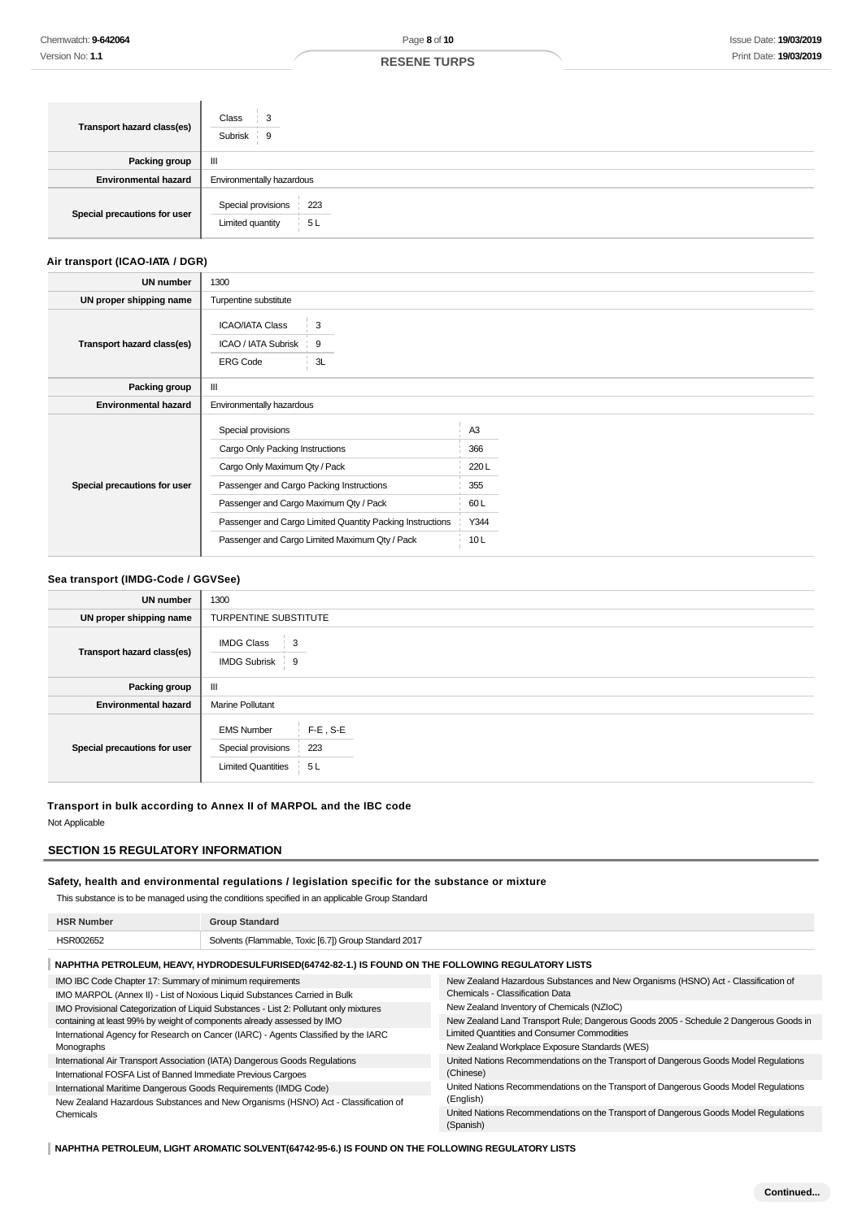| Transport hazard class(es)   | Class<br>3<br>Subrisk<br>- 9                        |  |
|------------------------------|-----------------------------------------------------|--|
| <b>Packing group</b>         | Ш                                                   |  |
| <b>Environmental hazard</b>  | Environmentally hazardous                           |  |
| Special precautions for user | Special provisions<br>223<br>5L<br>Limited quantity |  |

### **Air transport (ICAO-IATA / DGR)**

| <b>UN number</b>             | 1300                                                             |                                                           |                |  |
|------------------------------|------------------------------------------------------------------|-----------------------------------------------------------|----------------|--|
| UN proper shipping name      | Turpentine substitute                                            |                                                           |                |  |
| Transport hazard class(es)   | <b>ICAO/IATA Class</b><br>ICAO / IATA Subrisk<br><b>ERG Code</b> | 3<br>9<br>3L                                              |                |  |
| Packing group                | Ш                                                                |                                                           |                |  |
| <b>Environmental hazard</b>  | Environmentally hazardous                                        |                                                           |                |  |
|                              | Special provisions                                               |                                                           | A <sub>3</sub> |  |
|                              | Cargo Only Packing Instructions                                  |                                                           | 366            |  |
|                              | Cargo Only Maximum Qty / Pack                                    |                                                           | 220L           |  |
| Special precautions for user | Passenger and Cargo Packing Instructions                         |                                                           | 355            |  |
|                              | Passenger and Cargo Maximum Qty / Pack                           |                                                           | 60 L           |  |
|                              |                                                                  | Passenger and Cargo Limited Quantity Packing Instructions | Y344           |  |
|                              |                                                                  | Passenger and Cargo Limited Maximum Qty / Pack            | 10L            |  |

#### **Sea transport (IMDG-Code / GGVSee)**

| <b>UN number</b>             | 1300                                                                                              |  |  |
|------------------------------|---------------------------------------------------------------------------------------------------|--|--|
| UN proper shipping name      | TURPENTINE SUBSTITUTE                                                                             |  |  |
| Transport hazard class(es)   | <b>IMDG Class</b><br>3<br><b>IMDG Subrisk</b><br>9                                                |  |  |
| <b>Packing group</b>         | Ш                                                                                                 |  |  |
| <b>Environmental hazard</b>  | <b>Marine Pollutant</b>                                                                           |  |  |
| Special precautions for user | $F-E$ , S-E<br><b>EMS Number</b><br>Special provisions<br>223<br><b>Limited Quantities</b><br>5 L |  |  |

#### **Transport in bulk according to Annex II of MARPOL and the IBC code**

Not Applicable

### **SECTION 15 REGULATORY INFORMATION**

### **Safety, health and environmental regulations / legislation specific for the substance or mixture**

This substance is to be managed using the conditions specified in an applicable Group Standard

| <b>HSR Number</b> | <b>Group Standard</b>                                 |
|-------------------|-------------------------------------------------------|
| HSR002652         | Solvents (Flammable, Toxic [6.7]) Group Standard 2017 |
|                   |                                                       |

#### **NAPHTHA PETROLEUM, HEAVY, HYDRODESULFURISED(64742-82-1.) IS FOUND ON THE FOLLOWING REGULATORY LISTS** IMO IBC Code Chapter 17: Summary of minimum requirements IMO MARPOL (Annex II) - List of Noxious Liquid Substances Carried in Bulk IMO Provisional Categorization of Liquid Substances - List 2: Pollutant only mixtures containing at least 99% by weight of components already assessed by IMO International Agency for Research on Cancer (IARC) - Agents Classified by the IARC Monographs International Air Transport Association (IATA) Dangerous Goods Regulations International FOSFA List of Banned Immediate Previous Cargoes International Maritime Dangerous Goods Requirements (IMDG Code) New Zealand Hazardous Substances and New Organisms (HSNO) Act - Classification of New Zealand Hazardous Substances and New Organisms (HSNO) Act - Classification of Chemicals - Classification Data New Zealand Inventory of Chemicals (NZIoC) New Zealand Land Transport Rule; Dangerous Goods 2005 - Schedule 2 Dangerous Goods in Limited Quantities and Consumer Commodities New Zealand Workplace Exposure Standards (WES) United Nations Recommendations on the Transport of Dangerous Goods Model Regulations (Chinese) United Nations Recommendations on the Transport of Dangerous Goods Model Regulations (English)

(Spanish)

Chemicals

### **NAPHTHA PETROLEUM, LIGHT AROMATIC SOLVENT(64742-95-6.) IS FOUND ON THE FOLLOWING REGULATORY LISTS**

United Nations Recommendations on the Transport of Dangerous Goods Model Regulations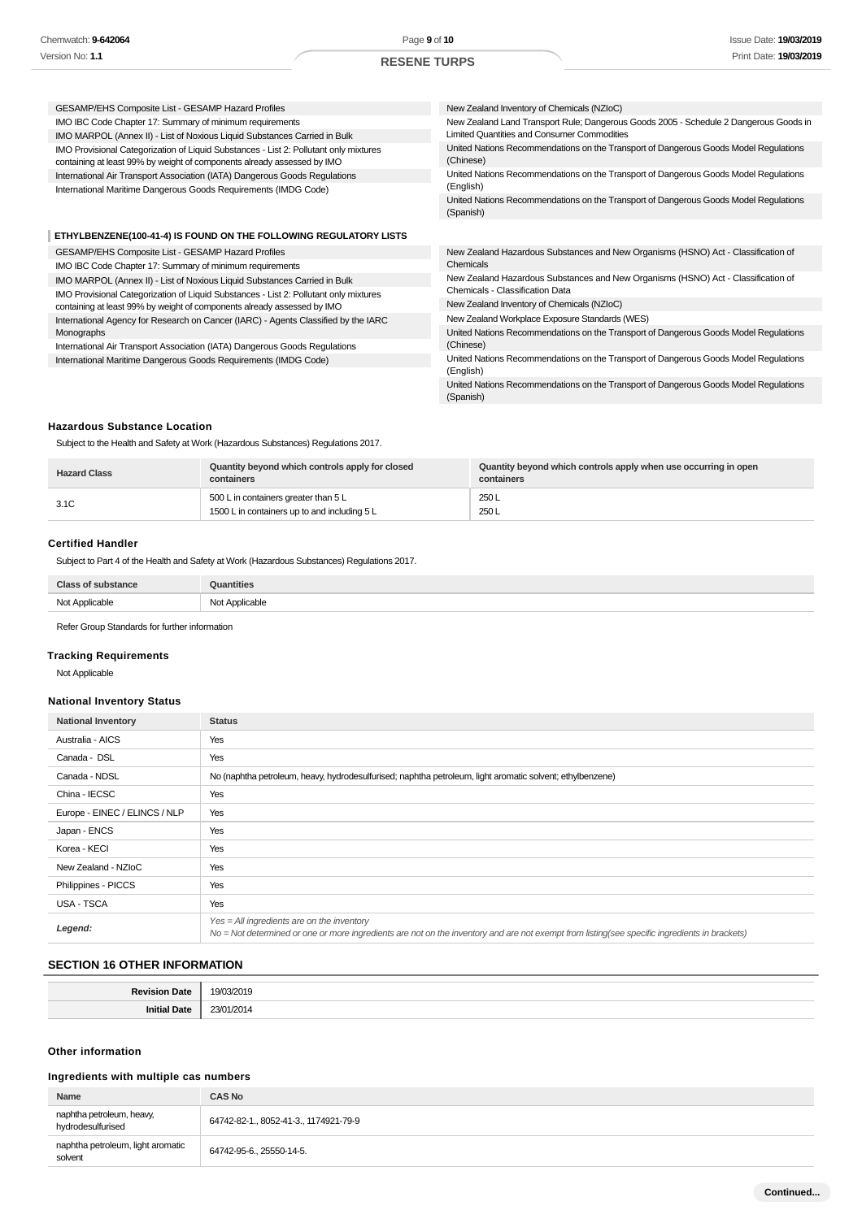#### GESAMP/EHS Composite List - GESAMP Hazard Profiles IMO IBC Code Chapter 17: Summary of minimum requirements IMO MARPOL (Annex II) - List of Noxious Liquid Substances Carried in Bulk IMO Provisional Categorization of Liquid Substances - List 2: Pollutant only mixtures containing at least 99% by weight of components already assessed by IMO International Air Transport Association (IATA) Dangerous Goods Regulations International Maritime Dangerous Goods Requirements (IMDG Code) New Zealand Inventory of Chemicals (NZIoC) New Zealand Land Transport Rule; Dangerous Goods 2005 - Schedule 2 Dangerous Goods in Limited Quantities and Consumer Commodities United Nations Recommendations on the Transport of Dangerous Goods Model Regulations (Chinese) United Nations Recommendations on the Transport of Dangerous Goods Model Regulations (English) United Nations Recommendations on the Transport of Dangerous Goods Model Regulations (Spanish) **ETHYLBENZENE(100-41-4) IS FOUND ON THE FOLLOWING REGULATORY LISTS** GESAMP/EHS Composite List - GESAMP Hazard Profiles IMO IBC Code Chapter 17: Summary of minimum requirements IMO MARPOL (Annex II) - List of Noxious Liquid Substances Carried in Bulk IMO Provisional Categorization of Liquid Substances - List 2: Pollutant only mixtures containing at least 99% by weight of components already assessed by IMO International Agency for Research on Cancer (IARC) - Agents Classified by the IARC Monographs International Air Transport Association (IATA) Dangerous Goods Regulations International Maritime Dangerous Goods Requirements (IMDG Code) New Zealand Hazardous Substances and New Organisms (HSNO) Act - Classification of Chemicals New Zealand Hazardous Substances and New Organisms (HSNO) Act - Classification of Chemicals - Classification Data New Zealand Inventory of Chemicals (NZIoC) New Zealand Workplace Exposure Standards (WES) United Nations Recommendations on the Transport of Dangerous Goods Model Regulations (Chinese) United Nations Recommendations on the Transport of Dangerous Goods Model Regulations (English) United Nations Recommendations on the Transport of Dangerous Goods Model Regulations (Spanish)

#### **Hazardous Substance Location**

Subject to the Health and Safety at Work (Hazardous Substances) Regulations 2017.

| <b>Hazard Class</b> | Quantity beyond which controls apply for closed<br>containers                        | Quantity beyond which controls apply when use occurring in open<br>containers |
|---------------------|--------------------------------------------------------------------------------------|-------------------------------------------------------------------------------|
| 3.1C                | 500 L in containers greater than 5 L<br>1500 L in containers up to and including 5 L | 250L<br>250L                                                                  |

### **Certified Handler**

Subject to Part 4 of the Health and Safety at Work (Hazardous Substances) Regulations 2017.

| <b>Class of substance</b> | <b>Quantities</b> |
|---------------------------|-------------------|
| Not Applicable            | Not Applicable    |

Refer Group Standards for further information

### **Tracking Requirements**

Not Applicable

#### **National Inventory Status**

| <b>National Inventory</b>     | <b>Status</b>                                                                                                                                                                                 |
|-------------------------------|-----------------------------------------------------------------------------------------------------------------------------------------------------------------------------------------------|
| Australia - AICS              | Yes                                                                                                                                                                                           |
| Canada - DSL                  | Yes                                                                                                                                                                                           |
| Canada - NDSL                 | No (naphtha petroleum, heavy, hydrodesulfurised; naphtha petroleum, light aromatic solvent; ethylbenzene)                                                                                     |
| China - IECSC                 | Yes                                                                                                                                                                                           |
| Europe - EINEC / ELINCS / NLP | Yes                                                                                                                                                                                           |
| Japan - ENCS                  | Yes                                                                                                                                                                                           |
| Korea - KECI                  | Yes                                                                                                                                                                                           |
| New Zealand - NZIoC           | Yes                                                                                                                                                                                           |
| Philippines - PICCS           | Yes                                                                                                                                                                                           |
| <b>USA - TSCA</b>             | Yes                                                                                                                                                                                           |
| Legend:                       | $Yes = All ingredients are on the inventory$<br>No = Not determined or one or more ingredients are not on the inventory and are not exempt from listing(see specific ingredients in brackets) |

### **SECTION 16 OTHER INFORMATION**

| 2016   |  |
|--------|--|
| $-11.$ |  |

### **Other information**

### **Ingredients with multiple cas numbers**

| Name                                           | <b>CAS No</b>                         |
|------------------------------------------------|---------------------------------------|
| naphtha petroleum, heavy,<br>hydrodesulfurised | 64742-82-1., 8052-41-3., 1174921-79-9 |
| naphtha petroleum, light aromatic<br>solvent   | 64742-95-6 25550-14-5.                |